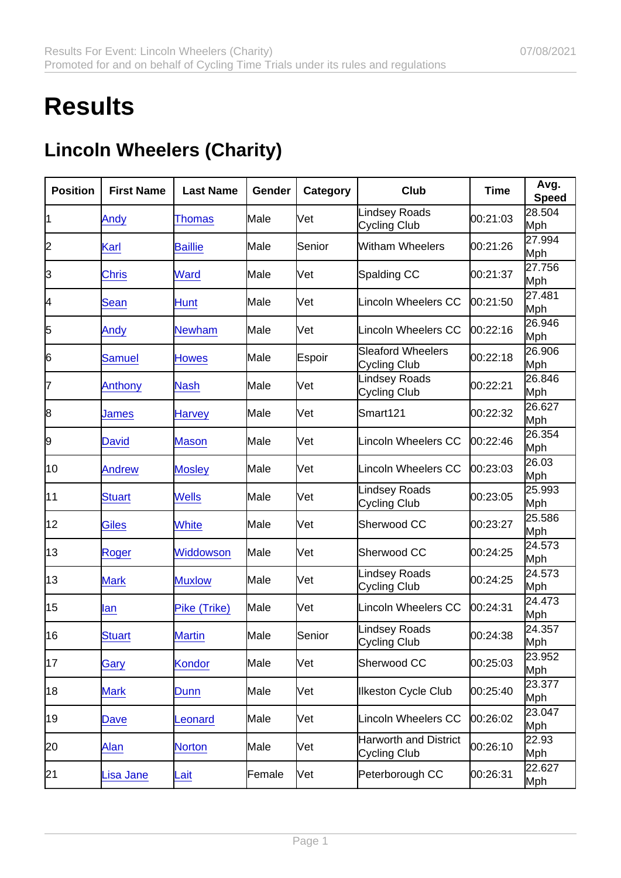## **Results**

## Lincoln Wheelers (Charity)

| Position | <b>First Name</b> | Last Name      | Gender | Category | Club                                         | <b>Time</b> | Avg.<br>Speed |
|----------|-------------------|----------------|--------|----------|----------------------------------------------|-------------|---------------|
| 11       | Andy              | Thomas         | Male   | lVet     | <b>Lindsey Roads</b><br><b>Cycling Club</b>  | 00:21:03    | 28.504<br>Mph |
| 2        | Karl              | <b>Baillie</b> | Male   | Senior   | Witham Wheelers                              | 00:21:26    | 27.994<br>Mph |
| 3        | <b>Chris</b>      | <b>Ward</b>    | Male   | Vet      | Spalding CC                                  | 00:21:37    | 27.756<br>Mph |
| 4        | <b>Sean</b>       | Hunt           | Male   | lVet     | <b>Lincoln Wheelers CC</b>                   | 00:21:50    | 27.481<br>Mph |
| 5        | Andy              | <b>Newham</b>  | Male   | Vet      | Lincoln Wheelers CC                          | 00:22:16    | 26.946<br>Mph |
| 6        | <b>Samuel</b>     | <b>Howes</b>   | Male   | Espoir   | Sleaford Wheelers<br>Cycling Club            | 00:22:18    | 26.906<br>Mph |
| 17       | Anthony           | <b>Nash</b>    | Male   | Vet      | <b>Lindsey Roads</b><br><b>Cycling Club</b>  | 00:22:21    | 26.846<br>Mph |
| 8        | James             | <b>Harvey</b>  | Male   | lVet     | Smart121                                     | 00:22:32    | 26.627<br>Mph |
| 9        | <b>David</b>      | <b>Mason</b>   | Male   | lVet     | <b>Lincoln Wheelers CC</b>                   | 00:22:46    | 26.354<br>Mph |
| 10       | <b>Andrew</b>     | <b>Mosley</b>  | Male   | Vet      | <b>Lincoln Wheelers CC</b>                   | 00:23:03    | 26.03<br>Mph  |
| 11       | <b>Stuart</b>     | <b>Wells</b>   | Male   | Vet      | Lindsey Roads<br>Cycling Club                | 00:23:05    | 25.993<br>Mph |
| 12       | <b>Giles</b>      | <b>White</b>   | Male   | Vet      | Sherwood CC                                  | 00:23:27    | 25.586<br>Mph |
| 13       | Roger             | Widdowson      | Male   | lVet     | Sherwood CC                                  | 00:24:25    | 24.573<br>Mph |
| 13       | <b>Mark</b>       | <b>Muxlow</b>  | Male   | Vet      | Lindsey Roads<br>Cycling Club                | 00:24:25    | 24.573<br>Mph |
| 15       | lan               | Pike (Trike)   | Male   | Vet      | <b>Lincoln Wheelers CC</b>                   | 00:24:31    | 24.473<br>Mph |
| 16       | <b>Stuart</b>     | <b>Martin</b>  | Male   | Senior   | Lindsey Roads<br><b>Cycling Club</b>         | 00:24:38    | 24.357<br>Mph |
| 17       | Gary              | Kondor         | Male   | Vet      | Sherwood CC                                  | 00:25:03    | 23.952<br>Mph |
| 18       | <b>Mark</b>       | Dunn           | Male   | Vet      | <b>Ilkeston Cycle Club</b>                   | 00:25:40    | 23.377<br>Mph |
| 19       | Dave              | Leonard        | Male   | Vet      | Lincoln Wheelers CC                          | 00:26:02    | 23.047<br>Mph |
| 20       | Alan              | <b>Norton</b>  | Male   | Vet      | <b>Harworth and District</b><br>Cycling Club | 00:26:10    | 22.93<br>Mph  |
| 21       | <b>Lisa Jane</b>  | Lait           | Female | Vet      | Peterborough CC                              | 00:26:31    | 22.627<br>Mph |